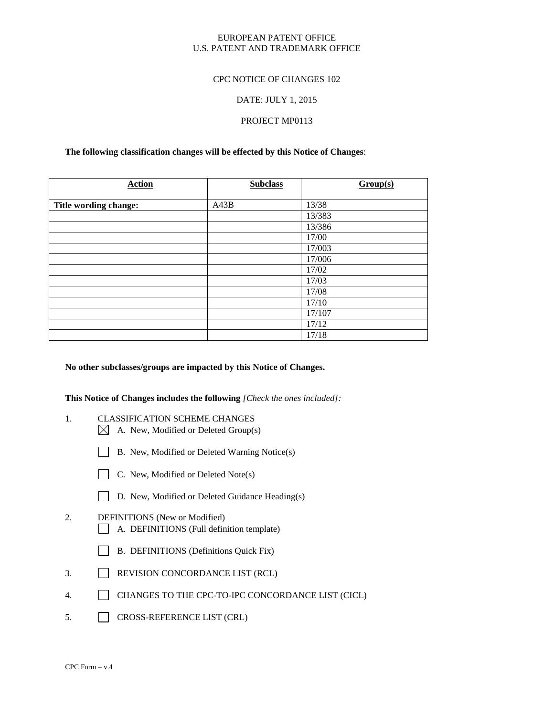# EUROPEAN PATENT OFFICE U.S. PATENT AND TRADEMARK OFFICE

# CPC NOTICE OF CHANGES 102

# DATE: JULY 1, 2015

# PROJECT MP0113

# **The following classification changes will be effected by this Notice of Changes**:

| <b>Action</b>         | <b>Subclass</b> | Group(s) |
|-----------------------|-----------------|----------|
| Title wording change: | A43B            | 13/38    |
|                       |                 | 13/383   |
|                       |                 | 13/386   |
|                       |                 | 17/00    |
|                       |                 | 17/003   |
|                       |                 | 17/006   |
|                       |                 | 17/02    |
|                       |                 | 17/03    |
|                       |                 | 17/08    |
|                       |                 | 17/10    |
|                       |                 | 17/107   |
|                       |                 | 17/12    |
|                       |                 | 17/18    |

#### **No other subclasses/groups are impacted by this Notice of Changes.**

**This Notice of Changes includes the following** *[Check the ones included]:*

- 1. CLASSIFICATION SCHEME CHANGES
	- $\boxtimes$  A. New, Modified or Deleted Group(s)
	- B. New, Modified or Deleted Warning Notice(s)
	- $\Box$  C. New, Modified or Deleted Note(s)
	- D. New, Modified or Deleted Guidance Heading(s)
- 2. DEFINITIONS (New or Modified) A. DEFINITIONS (Full definition template)
	- B. DEFINITIONS (Definitions Quick Fix)
- 3. REVISION CONCORDANCE LIST (RCL)
- 4. CHANGES TO THE CPC-TO-IPC CONCORDANCE LIST (CICL)
- 5. CROSS-REFERENCE LIST (CRL)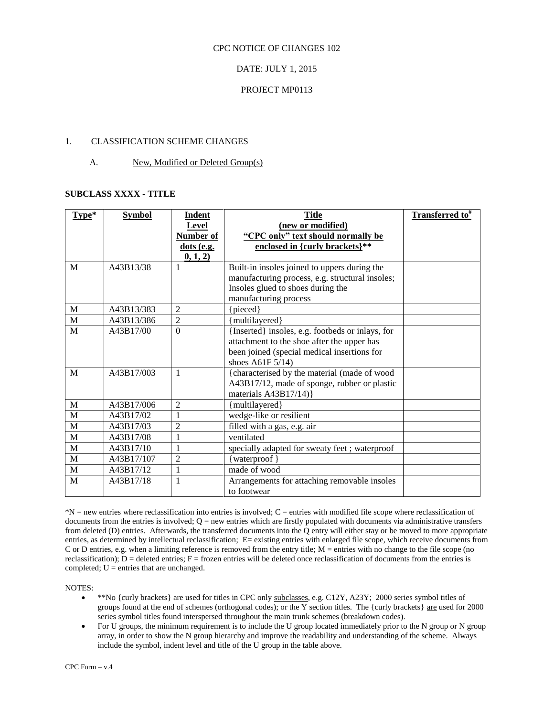## CPC NOTICE OF CHANGES 102

# DATE: JULY 1, 2015

# PROJECT MP0113

# 1. CLASSIFICATION SCHEME CHANGES

### A. New, Modified or Deleted Group(s)

# **SUBCLASS XXXX - TITLE**

| $Type*$     | <b>Symbol</b> | <b>Indent</b>  | <b>Title</b>                                     | Transferred to <sup>#</sup> |
|-------------|---------------|----------------|--------------------------------------------------|-----------------------------|
|             |               | Level          | (new or modified)                                |                             |
|             |               | Number of      | "CPC only" text should normally be               |                             |
|             |               | $dots$ (e.g.   | enclosed in {curly brackets}**                   |                             |
|             |               | 0, 1, 2)       |                                                  |                             |
| M           | A43B13/38     | 1              | Built-in insoles joined to uppers during the     |                             |
|             |               |                | manufacturing process, e.g. structural insoles;  |                             |
|             |               |                | Insoles glued to shoes during the                |                             |
|             |               |                | manufacturing process                            |                             |
| M           | A43B13/383    | $\overline{2}$ | {pieced}                                         |                             |
| M           | A43B13/386    | $\overline{2}$ | {multilayered}                                   |                             |
| M           | A43B17/00     | $\theta$       | {Inserted} insoles, e.g. footbeds or inlays, for |                             |
|             |               |                | attachment to the shoe after the upper has       |                             |
|             |               |                | been joined (special medical insertions for      |                             |
|             |               |                | shoes A61F $5/14$ )                              |                             |
| M           | A43B17/003    | 1              | {characterised by the material (made of wood     |                             |
|             |               |                | A43B17/12, made of sponge, rubber or plastic     |                             |
|             |               |                | materials $A43B17/14$ }                          |                             |
| $\mathbf M$ | A43B17/006    | $\overline{2}$ | {multilayered}                                   |                             |
| M           | A43B17/02     | 1              | wedge-like or resilient                          |                             |
| M           | A43B17/03     | $\overline{c}$ | filled with a gas, e.g. air                      |                             |
| $\mathbf M$ | A43B17/08     | 1              | ventilated                                       |                             |
| $\mathbf M$ | A43B17/10     | $\mathbf{1}$   | specially adapted for sweaty feet; waterproof    |                             |
| $\mathbf M$ | A43B17/107    | $\overline{c}$ | {waterproof}                                     |                             |
| $\mathbf M$ | A43B17/12     | $\mathbf{1}$   | made of wood                                     |                             |
| M           | A43B17/18     | 1              | Arrangements for attaching removable insoles     |                             |
|             |               |                | to footwear                                      |                             |

\*N = new entries where reclassification into entries is involved; C = entries with modified file scope where reclassification of documents from the entries is involved;  $Q =$  new entries which are firstly populated with documents via administrative transfers from deleted (D) entries. Afterwards, the transferred documents into the Q entry will either stay or be moved to more appropriate entries, as determined by intellectual reclassification; E= existing entries with enlarged file scope, which receive documents from C or D entries, e.g. when a limiting reference is removed from the entry title; M = entries with no change to the file scope (no reclassification);  $D =$  deleted entries;  $F =$  frozen entries will be deleted once reclassification of documents from the entries is completed;  $U =$  entries that are unchanged.

NOTES:

- \*\*No {curly brackets} are used for titles in CPC only subclasses, e.g. C12Y, A23Y; 2000 series symbol titles of groups found at the end of schemes (orthogonal codes); or the Y section titles. The {curly brackets} are used for 2000 series symbol titles found interspersed throughout the main trunk schemes (breakdown codes).
- For U groups, the minimum requirement is to include the U group located immediately prior to the N group or N group array, in order to show the N group hierarchy and improve the readability and understanding of the scheme. Always include the symbol, indent level and title of the U group in the table above.